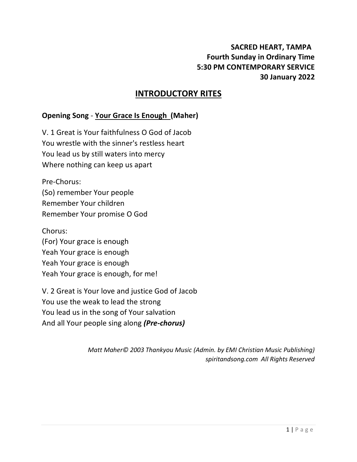## **SACRED HEART, TAMPA Fourth Sunday in Ordinary Time 5:30 PM CONTEMPORARY SERVICE 30 January 2022**

# **INTRODUCTORY RITES**

#### **Opening Song** - **Your Grace Is Enough (Maher)**

V. 1 Great is Your faithfulness O God of Jacob You wrestle with the sinner's restless heart You lead us by still waters into mercy Where nothing can keep us apart

Pre-Chorus: (So) remember Your people Remember Your children Remember Your promise O God

Chorus: (For) Your grace is enough Yeah Your grace is enough Yeah Your grace is enough Yeah Your grace is enough, for me!

V. 2 Great is Your love and justice God of Jacob You use the weak to lead the strong You lead us in the song of Your salvation And all Your people sing along *(Pre-chorus)*

> *Matt Maher© 2003 Thankyou Music (Admin. by EMI Christian Music Publishing) spiritandsong.com All Rights Reserved*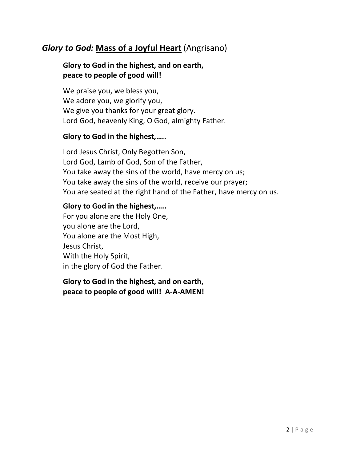# *Glory to God:* **Mass of a Joyful Heart** (Angrisano)

### **Glory to God in the highest, and on earth, peace to people of good will!**

We praise you, we bless you, We adore you, we glorify you, We give you thanks for your great glory. Lord God, heavenly King, O God, almighty Father.

#### **Glory to God in the highest,…..**

Lord Jesus Christ, Only Begotten Son, Lord God, Lamb of God, Son of the Father, You take away the sins of the world, have mercy on us; You take away the sins of the world, receive our prayer; You are seated at the right hand of the Father, have mercy on us.

#### **Glory to God in the highest,…..**

For you alone are the Holy One, you alone are the Lord, You alone are the Most High, Jesus Christ, With the Holy Spirit, in the glory of God the Father.

**Glory to God in the highest, and on earth, peace to people of good will! A-A-AMEN!**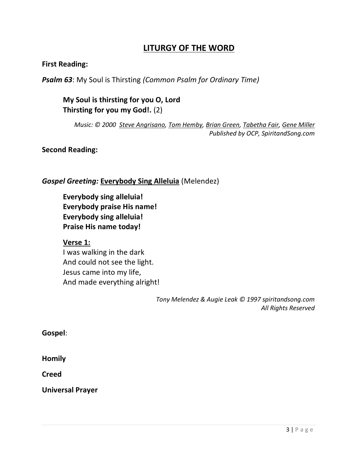## **LITURGY OF THE WORD**

#### **First Reading:**

*Psalm 63*: My Soul is Thirsting *(Common Psalm for Ordinary Time)*

### **My Soul is thirsting for you O, Lord Thirsting for you my God!.** (2)

*Music: © 2000 [Steve Angrisano,](https://www.google.com/search?sxsrf=AOaemvJruKsjUNMTmUIDu5apUm66SKSoKQ:1631300827959&q=Steve+Angrisano&stick=H4sIAAAAAAAAAOPgE-LVT9c3NEw2zi1PzzVKV-LSz9U3MCwuMzct1FLKTrbSzy0tzkzWL0pNzi9KycxLj0_OKS0uSS2ySiwqySwuWcTKH1ySWpaq4JiXXpRZnJiXv4OVEQC8gvbWVgAAAA&sa=X&sqi=2&ved=2ahUKEwjByvySjfXyAhVLq5UCHUIEA8QQmxMoAXoECAUQAw) [Tom Hemby,](https://www.google.com/search?sxsrf=AOaemvJruKsjUNMTmUIDu5apUm66SKSoKQ:1631300827959&q=Tom+Hemby&stick=H4sIAAAAAAAAAOPgE-LVT9c3NEw2zi1PzzVKV-LSz9U3MCzLrjIv0lLKTrbSzy0tzkzWL0pNzi9KycxLj0_OKS0uSS2ySiwqySwuWcTKGZKfq-CRmptUuYOVEQDgO5u1UAAAAA&sa=X&sqi=2&ved=2ahUKEwjByvySjfXyAhVLq5UCHUIEA8QQmxMoAnoECAUQBA) [Brian Green,](https://www.google.com/search?sxsrf=AOaemvJruKsjUNMTmUIDu5apUm66SKSoKQ:1631300827959&q=my+soul+is+thirsting+brian+green&stick=H4sIAAAAAAAAAOPgE-LVT9c3NEw2zi1PzzVKV4JwkyqMsjMKii21lLKTrfRzS4szk_WLUpPzi1Iy89Ljk3NKi0tSi6wSi0oyi0sWsSrkVioU55fmKGQWK5RkZBYVlwBVKSQVZSbmKaQXpabm7WBlBAArG_FyagAAAA&sa=X&sqi=2&ved=2ahUKEwjByvySjfXyAhVLq5UCHUIEA8QQmxMoA3oECAUQBQ) [Tabetha Fair,](https://www.google.com/search?sxsrf=AOaemvJruKsjUNMTmUIDu5apUm66SKSoKQ:1631300827959&q=Tabetha+Fair&stick=H4sIAAAAAAAAAOPgE-LVT9c3NEw2zi1PzzVKV4Jwk0rijQyL8-K1lLKTrfRzS4szk_WLUpPzi1Iy89Ljk3NKi0tSi6wSi0oyi0sWsfKEJCallmQkKrglZhbtYGUEAIWA85FWAAAA&sa=X&sqi=2&ved=2ahUKEwjByvySjfXyAhVLq5UCHUIEA8QQmxMoBHoECAUQBg) [Gene Miller](https://www.google.com/search?sxsrf=AOaemvJruKsjUNMTmUIDu5apUm66SKSoKQ:1631300827959&q=Gene+Miller+Musician&stick=H4sIAAAAAAAAAOPgE-LVT9c3NEw2zi1PzzVKV4JwkyosisuNs_K0lLKTrfRzS4szk_WLUpPzi1Iy89Ljk3NKi0tSi6wSi0oyi0sWsYq4p-alKvhm5uSkFin4ghRnJubtYGUEAIFEP9leAAAA&sa=X&sqi=2&ved=2ahUKEwjByvySjfXyAhVLq5UCHUIEA8QQmxMoBXoECAUQBw) Published by OCP, SpiritandSong.com*

#### **Second Reading:**

#### *Gospel Greeting:* **Everybody Sing Alleluia** (Melendez)

**Everybody sing alleluia! Everybody praise His name! Everybody sing alleluia! Praise His name today!**

**Verse 1:** I was walking in the dark And could not see the light. Jesus came into my life, And made everything alright!

> *Tony Melendez & Augie Leak © 1997 spiritandsong.com All Rights Reserved*

**Gospel**:

**Homily**

**Creed**

**Universal Prayer**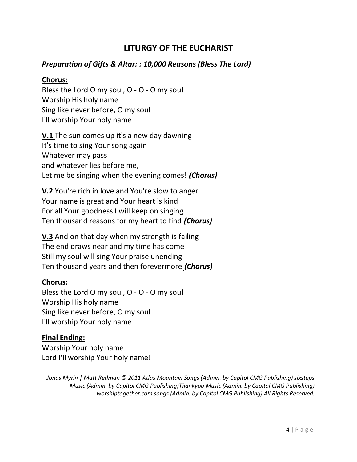# **LITURGY OF THE EUCHARIST**

### *Preparation of Gifts & Altar: : 10,000 Reasons (Bless The Lord)*

#### **Chorus:**

Bless the Lord O my soul, O - O - O my soul Worship His holy name Sing like never before, O my soul I'll worship Your holy name

**V.1** The sun comes up it's a new day dawning It's time to sing Your song again Whatever may pass and whatever lies before me, Let me be singing when the evening comes! *(Chorus)*

**V.2** You're rich in love and You're slow to anger Your name is great and Your heart is kind For all Your goodness I will keep on singing Ten thousand reasons for my heart to find *(Chorus)*

**V.3** And on that day when my strength is failing The end draws near and my time has come Still my soul will sing Your praise unending Ten thousand years and then forevermore *(Chorus)*

#### **Chorus:**

Bless the Lord O my soul,  $O - O - O$  my soul Worship His holy name Sing like never before, O my soul I'll worship Your holy name

#### **Final Ending:**

Worship Your holy name Lord I'll worship Your holy name!

*Jonas Myrin | Matt Redman © 2011 Atlas Mountain Songs (Admin. by Capitol CMG Publishing) sixsteps Music (Admin. by Capitol CMG Publishing)Thankyou Music (Admin. by Capitol CMG Publishing) worshiptogether.com songs (Admin. by Capitol CMG Publishing) All Rights Reserved.*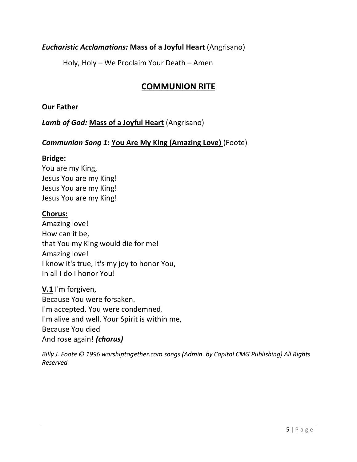## *Eucharistic Acclamations:* **Mass of a Joyful Heart** (Angrisano)

Holy, Holy – We Proclaim Your Death – Amen

# **COMMUNION RITE**

#### **Our Father**

*Lamb of God:* **Mass of a Joyful Heart** (Angrisano)

#### *Communion Song 1:* **You Are My King (Amazing Love)** (Foote)

#### **Bridge:**

You are my King, Jesus You are my King! Jesus You are my King! Jesus You are my King!

### **Chorus:**

Amazing love! How can it be, that You my King would die for me! Amazing love! I know it's true, It's my joy to honor You, In all I do I honor You!

**V.1** I'm forgiven, Because You were forsaken. I'm accepted. You were condemned. I'm alive and well. Your Spirit is within me, Because You died And rose again! *(chorus)*

*Billy J. Foote © 1996 worshiptogether.com songs (Admin. by Capitol CMG Publishing) All Rights Reserved*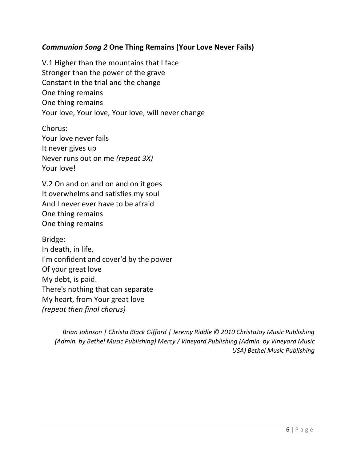### *Communion Song 2* **One Thing Remains (Your Love Never Fails)**

V.1 Higher than the mountains that I face Stronger than the power of the grave Constant in the trial and the change One thing remains One thing remains Your love, Your love, Your love, will never change

Chorus: Your love never fails It never gives up Never runs out on me *(repeat 3X)* Your love!

V.2 On and on and on and on it goes It overwhelms and satisfies my soul And I never ever have to be afraid One thing remains One thing remains

Bridge: In death, in life, I'm confident and cover'd by the power Of your great love My debt, is paid. There's nothing that can separate My heart, from Your great love *(repeat then final chorus)*

*Brian Johnson | Christa Black Gifford | Jeremy Riddle © 2010 ChristaJoy Music Publishing (Admin. by Bethel Music Publishing) Mercy / Vineyard Publishing (Admin. by Vineyard Music USA) Bethel Music Publishing*